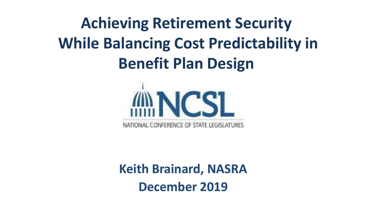# **Achieving Retirement Security While Balancing Cost Predictability in Benefit Plan Design**



**Keith Brainard, NASRA December 2019**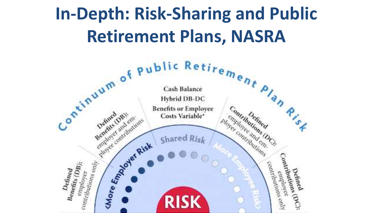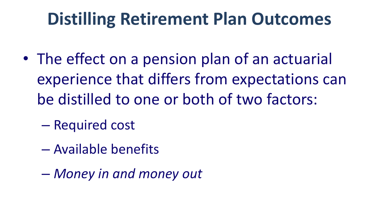# **Distilling Retirement Plan Outcomes**

- The effect on a pension plan of an actuarial experience that differs from expectations can be distilled to one or both of two factors:
	- Required cost
	- Available benefits
	- *Money in and money out*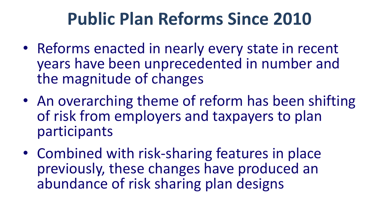# **Public Plan Reforms Since 2010**

- Reforms enacted in nearly every state in recent years have been unprecedented in number and the magnitude of changes
- An overarching theme of reform has been shifting of risk from employers and taxpayers to plan participants
- Combined with risk-sharing features in place previously, these changes have produced an abundance of risk sharing plan designs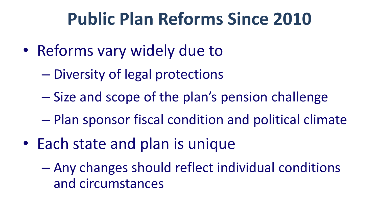#### **Public Plan Reforms Since 2010**

- Reforms vary widely due to
	- Diversity of legal protections
	- Size and scope of the plan's pension challenge
	- Plan sponsor fiscal condition and political climate
- Each state and plan is unique
	- Any changes should reflect individual conditions and circumstances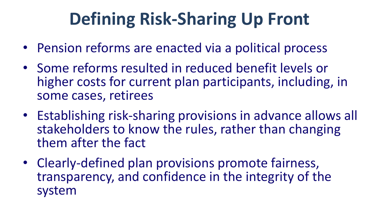# **Defining Risk-Sharing Up Front**

- Pension reforms are enacted via a political process
- Some reforms resulted in reduced benefit levels or higher costs for current plan participants, including, in some cases, retirees
- Establishing risk-sharing provisions in advance allows all stakeholders to know the rules, rather than changing them after the fact
- Clearly-defined plan provisions promote fairness, transparency, and confidence in the integrity of the system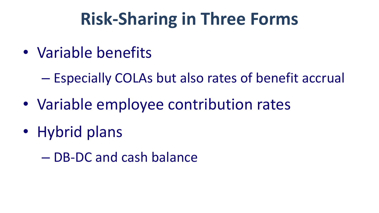# **Risk-Sharing in Three Forms**

- Variable benefits
	- Especially COLAs but also rates of benefit accrual
- Variable employee contribution rates
- Hybrid plans
	- DB-DC and cash balance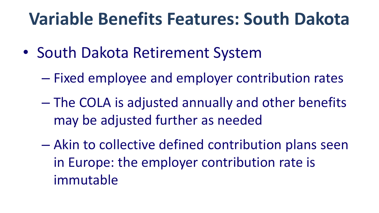# **Variable Benefits Features: South Dakota**

- South Dakota Retirement System
	- Fixed employee and employer contribution rates
	- The COLA is adjusted annually and other benefits may be adjusted further as needed
	- Akin to collective defined contribution plans seen in Europe: the employer contribution rate is immutable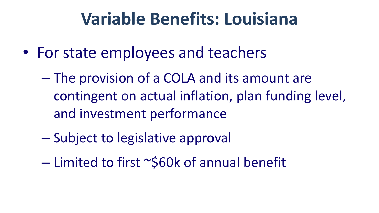# **Variable Benefits: Louisiana**

- For state employees and teachers
	- The provision of a COLA and its amount are contingent on actual inflation, plan funding level, and investment performance
	- Subject to legislative approval
	- $-$  Limited to first  $\sim$ \$60k of annual benefit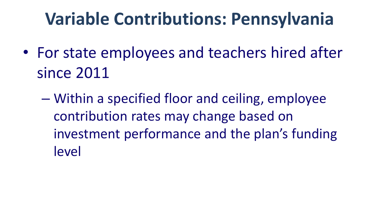# **Variable Contributions: Pennsylvania**

- For state employees and teachers hired after since 2011
	- Within a specified floor and ceiling, employee contribution rates may change based on investment performance and the plan's funding level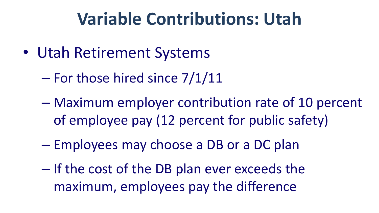#### **Variable Contributions: Utah**

- Utah Retirement Systems
	- For those hired since 7/1/11
	- Maximum employer contribution rate of 10 percent of employee pay (12 percent for public safety)
	- Employees may choose a DB or a DC plan
	- If the cost of the DB plan ever exceeds the maximum, employees pay the difference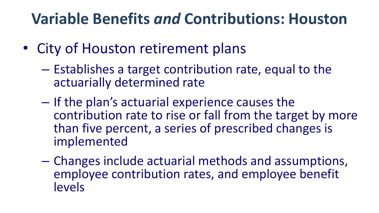#### **Variable Benefits** *and* **Contributions: Houston**

- City of Houston retirement plans
	- Establishes a target contribution rate, equal to the actuarially determined rate
	- If the plan's actuarial experience causes the contribution rate to rise or fall from the target by more than five percent, a series of prescribed changes is implemented
	- Changes include actuarial methods and assumptions, employee contribution rates, and employee benefit levels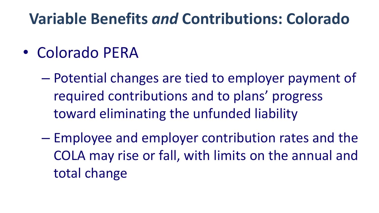#### **Variable Benefits** *and* **Contributions: Colorado**

#### • Colorado PERA

– Potential changes are tied to employer payment of required contributions and to plans' progress toward eliminating the unfunded liability

– Employee and employer contribution rates and the COLA may rise or fall, with limits on the annual and total change